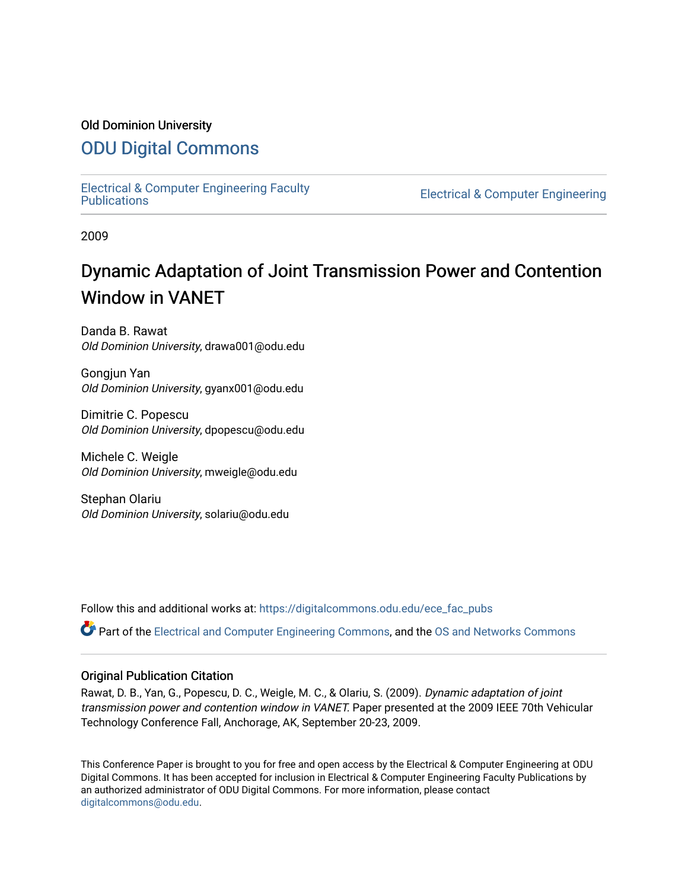## Old Dominion University

# [ODU Digital Commons](https://digitalcommons.odu.edu/)

[Electrical & Computer Engineering Faculty](https://digitalcommons.odu.edu/ece_fac_pubs) 

**Electrical & Computer Engineering** 

2009

# Dynamic Adaptation of Joint Transmission Power and Contention Window in VANET

Danda B. Rawat Old Dominion University, drawa001@odu.edu

Gongjun Yan Old Dominion University, gyanx001@odu.edu

Dimitrie C. Popescu Old Dominion University, dpopescu@odu.edu

Michele C. Weigle Old Dominion University, mweigle@odu.edu

Stephan Olariu Old Dominion University, solariu@odu.edu

Follow this and additional works at: [https://digitalcommons.odu.edu/ece\\_fac\\_pubs](https://digitalcommons.odu.edu/ece_fac_pubs?utm_source=digitalcommons.odu.edu%2Fece_fac_pubs%2F235&utm_medium=PDF&utm_campaign=PDFCoverPages) 

Part of the [Electrical and Computer Engineering Commons](http://network.bepress.com/hgg/discipline/266?utm_source=digitalcommons.odu.edu%2Fece_fac_pubs%2F235&utm_medium=PDF&utm_campaign=PDFCoverPages), and the [OS and Networks Commons](http://network.bepress.com/hgg/discipline/149?utm_source=digitalcommons.odu.edu%2Fece_fac_pubs%2F235&utm_medium=PDF&utm_campaign=PDFCoverPages) 

## Original Publication Citation

Rawat, D. B., Yan, G., Popescu, D. C., Weigle, M. C., & Olariu, S. (2009). Dynamic adaptation of joint transmission power and contention window in VANET. Paper presented at the 2009 IEEE 70th Vehicular Technology Conference Fall, Anchorage, AK, September 20-23, 2009.

This Conference Paper is brought to you for free and open access by the Electrical & Computer Engineering at ODU Digital Commons. It has been accepted for inclusion in Electrical & Computer Engineering Faculty Publications by an authorized administrator of ODU Digital Commons. For more information, please contact [digitalcommons@odu.edu](mailto:digitalcommons@odu.edu).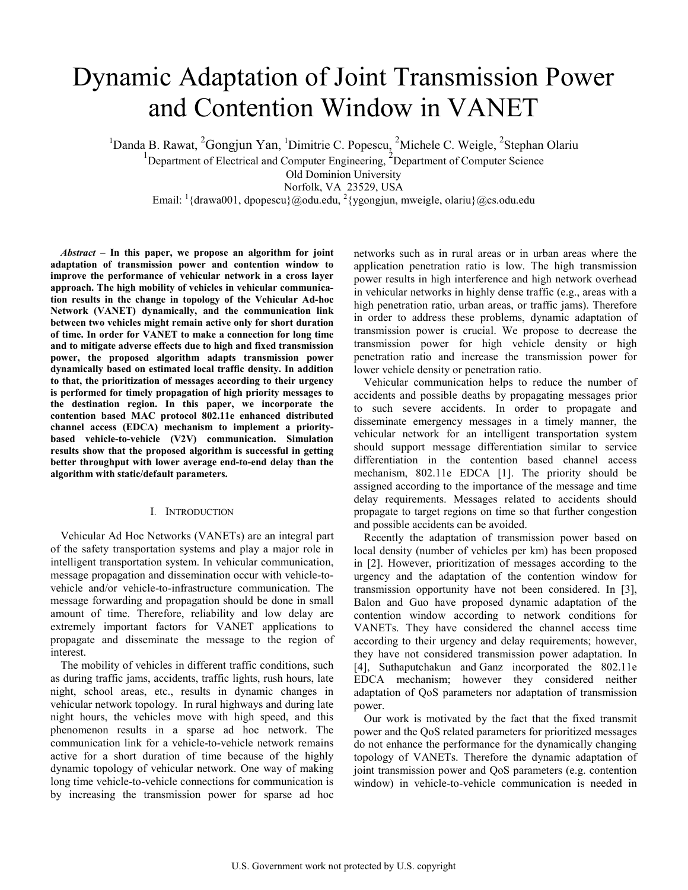# Dynamic Adaptation of Joint Transmission Power and Contention Window in VANET

<sup>1</sup>Danda B. Rawat, <sup>2</sup>Gongjun Yan, <sup>1</sup>Dimitrie C. Popescu, <sup>2</sup>Michele C. Weigle, <sup>2</sup>Stephan Olariu <sup>1</sup>Department of Electrical and Computer Engineering, <sup>2</sup>Department of Computer Science

Old Dominion University

Norfolk, VA 23529, USA

Email:  $\frac{1}{2}$ {drawa001, dpopescu}@odu.edu,  $\frac{2}{3}$ {ygongjun, mweigle, olariu}@cs.odu.edu

*Abstract –* **In this paper, we propose an algorithm for joint adaptation of transmission power and contention window to improve the performance of vehicular network in a cross layer approach. The high mobility of vehicles in vehicular communication results in the change in topology of the Vehicular Ad-hoc Network (VANET) dynamically, and the communication link between two vehicles might remain active only for short duration of time. In order for VANET to make a connection for long time and to mitigate adverse effects due to high and fixed transmission power, the proposed algorithm adapts transmission power dynamically based on estimated local traffic density. In addition to that, the prioritization of messages according to their urgency is performed for timely propagation of high priority messages to the destination region. In this paper, we incorporate the contention based MAC protocol 802.11e enhanced distributed channel access (EDCA) mechanism to implement a prioritybased vehicle-to-vehicle (V2V) communication. Simulation results show that the proposed algorithm is successful in getting better throughput with lower average end-to-end delay than the algorithm with static/default parameters.** 

#### I. INTRODUCTION

Vehicular Ad Hoc Networks (VANETs) are an integral part of the safety transportation systems and play a major role in intelligent transportation system. In vehicular communication, message propagation and dissemination occur with vehicle-tovehicle and/or vehicle-to-infrastructure communication. The message forwarding and propagation should be done in small amount of time. Therefore, reliability and low delay are extremely important factors for VANET applications to propagate and disseminate the message to the region of interest.

The mobility of vehicles in different traffic conditions, such as during traffic jams, accidents, traffic lights, rush hours, late night, school areas, etc., results in dynamic changes in vehicular network topology. In rural highways and during late night hours, the vehicles move with high speed, and this phenomenon results in a sparse ad hoc network. The communication link for a vehicle-to-vehicle network remains active for a short duration of time because of the highly dynamic topology of vehicular network. One way of making long time vehicle-to-vehicle connections for communication is by increasing the transmission power for sparse ad hoc

networks such as in rural areas or in urban areas where the application penetration ratio is low. The high transmission power results in high interference and high network overhead in vehicular networks in highly dense traffic (e.g., areas with a high penetration ratio, urban areas, or traffic jams). Therefore in order to address these problems, dynamic adaptation of transmission power is crucial. We propose to decrease the transmission power for high vehicle density or high penetration ratio and increase the transmission power for lower vehicle density or penetration ratio.

Vehicular communication helps to reduce the number of accidents and possible deaths by propagating messages prior to such severe accidents. In order to propagate and disseminate emergency messages in a timely manner, the vehicular network for an intelligent transportation system should support message differentiation similar to service differentiation in the contention based channel access mechanism, 802.11e EDCA [1]. The priority should be assigned according to the importance of the message and time delay requirements. Messages related to accidents should propagate to target regions on time so that further congestion and possible accidents can be avoided.

Recently the adaptation of transmission power based on local density (number of vehicles per km) has been proposed in [2]. However, prioritization of messages according to the urgency and the adaptation of the contention window for transmission opportunity have not been considered. In [3], Balon and Guo have proposed dynamic adaptation of the contention window according to network conditions for VANETs. They have considered the channel access time according to their urgency and delay requirements; however, they have not considered transmission power adaptation. In [4], Suthaputchakun and Ganz incorporated the 802.11e EDCA mechanism; however they considered neither adaptation of QoS parameters nor adaptation of transmission power.

Our work is motivated by the fact that the fixed transmit power and the QoS related parameters for prioritized messages do not enhance the performance for the dynamically changing topology of VANETs. Therefore the dynamic adaptation of joint transmission power and QoS parameters (e.g. contention window) in vehicle-to-vehicle communication is needed in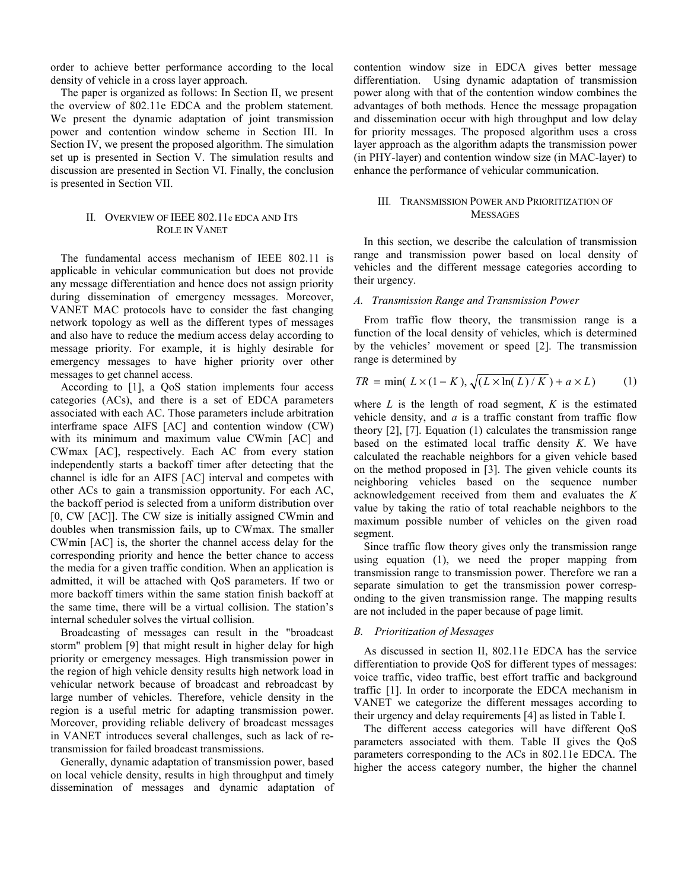order to achieve better performance according to the local density of vehicle in a cross layer approach.

The paper is organized as follows: In Section II, we present the overview of 802.11e EDCA and the problem statement. We present the dynamic adaptation of joint transmission power and contention window scheme in Section III. In Section IV, we present the proposed algorithm. The simulation set up is presented in Section V. The simulation results and discussion are presented in Section VI. Finally, the conclusion is presented in Section VII.

### II. OVERVIEW OF IEEE 802.11e EDCA AND ITS ROLE IN VANET

The fundamental access mechanism of IEEE 802.11 is applicable in vehicular communication but does not provide any message differentiation and hence does not assign priority during dissemination of emergency messages. Moreover, VANET MAC protocols have to consider the fast changing network topology as well as the different types of messages and also have to reduce the medium access delay according to message priority. For example, it is highly desirable for emergency messages to have higher priority over other messages to get channel access.

According to [1], a QoS station implements four access categories (ACs), and there is a set of EDCA parameters associated with each AC. Those parameters include arbitration interframe space AIFS [AC] and contention window (CW) with its minimum and maximum value CWmin [AC] and CWmax [AC], respectively. Each AC from every station independently starts a backoff timer after detecting that the channel is idle for an AIFS [AC] interval and competes with other ACs to gain a transmission opportunity. For each AC, the backoff period is selected from a uniform distribution over [0, CW [AC]]. The CW size is initially assigned CWmin and doubles when transmission fails, up to CWmax. The smaller CWmin [AC] is, the shorter the channel access delay for the corresponding priority and hence the better chance to access the media for a given traffic condition. When an application is admitted, it will be attached with QoS parameters. If two or more backoff timers within the same station finish backoff at the same time, there will be a virtual collision. The station's internal scheduler solves the virtual collision.

Broadcasting of messages can result in the "broadcast storm" problem [9] that might result in higher delay for high priority or emergency messages. High transmission power in the region of high vehicle density results high network load in vehicular network because of broadcast and rebroadcast by large number of vehicles. Therefore, vehicle density in the region is a useful metric for adapting transmission power. Moreover, providing reliable delivery of broadcast messages in VANET introduces several challenges, such as lack of retransmission for failed broadcast transmissions.

Generally, dynamic adaptation of transmission power, based on local vehicle density, results in high throughput and timely dissemination of messages and dynamic adaptation of contention window size in EDCA gives better message differentiation. Using dynamic adaptation of transmission power along with that of the contention window combines the advantages of both methods. Hence the message propagation and dissemination occur with high throughput and low delay for priority messages. The proposed algorithm uses a cross layer approach as the algorithm adapts the transmission power (in PHY-layer) and contention window size (in MAC-layer) to enhance the performance of vehicular communication.

#### III. TRANSMISSION POWER AND PRIORITIZATION OF MESSAGES

In this section, we describe the calculation of transmission range and transmission power based on local density of vehicles and the different message categories according to their urgency.

#### *A. Transmission Range and Transmission Power*

From traffic flow theory, the transmission range is a function of the local density of vehicles, which is determined by the vehicles' movement or speed [2]. The transmission range is determined by

$$
TR = \min(L \times (1 - K), \sqrt{(L \times \ln(L)/K)} + a \times L)
$$
 (1)

where  $L$  is the length of road segment,  $K$  is the estimated vehicle density, and *a* is a traffic constant from traffic flow theory [2], [7]. Equation (1) calculates the transmission range based on the estimated local traffic density *K*. We have calculated the reachable neighbors for a given vehicle based on the method proposed in [3]. The given vehicle counts its neighboring vehicles based on the sequence number acknowledgement received from them and evaluates the *K* value by taking the ratio of total reachable neighbors to the maximum possible number of vehicles on the given road segment.

Since traffic flow theory gives only the transmission range using equation (1), we need the proper mapping from transmission range to transmission power. Therefore we ran a separate simulation to get the transmission power corresponding to the given transmission range. The mapping results are not included in the paper because of page limit.

#### *B. Prioritization of Messages*

As discussed in section II, 802.11e EDCA has the service differentiation to provide QoS for different types of messages: voice traffic, video traffic, best effort traffic and background traffic [1]. In order to incorporate the EDCA mechanism in VANET we categorize the different messages according to their urgency and delay requirements [4] as listed in Table I.

The different access categories will have different QoS parameters associated with them. Table II gives the QoS parameters corresponding to the ACs in 802.11e EDCA. The higher the access category number, the higher the channel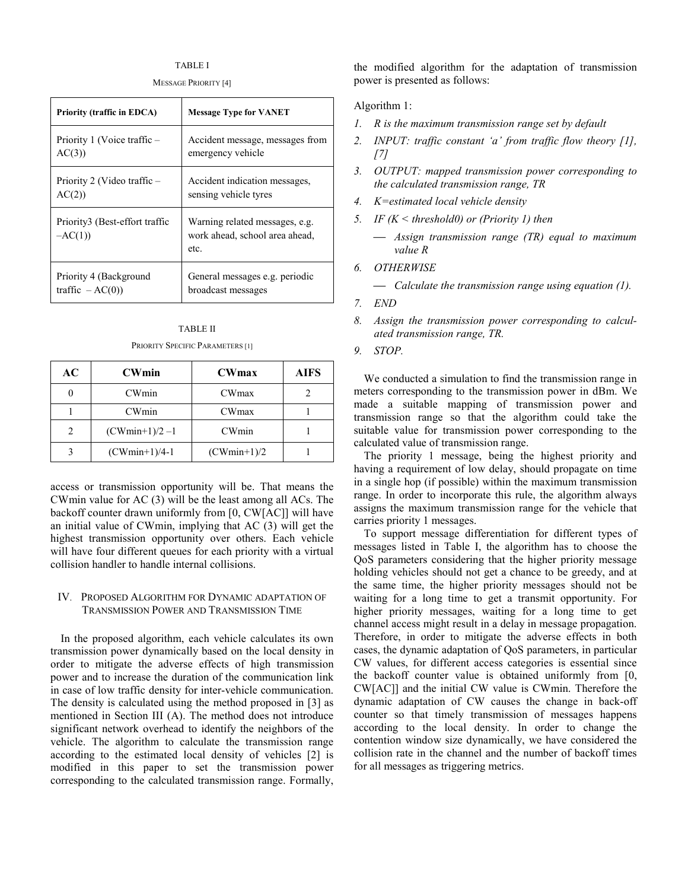#### TABLE I

MESSAGE PRIORITY [4]

| <b>Priority (traffic in EDCA)</b>          | <b>Message Type for VANET</b>                                            |  |
|--------------------------------------------|--------------------------------------------------------------------------|--|
| Priority 1 (Voice traffic -                | Accident message, messages from                                          |  |
| AC(3)                                      | emergency vehicle                                                        |  |
| Priority 2 (Video traffic –                | Accident indication messages,                                            |  |
| AC(2)                                      | sensing vehicle tyres                                                    |  |
| Priority3 (Best-effort traffic<br>$-AC(1)$ | Warning related messages, e.g.<br>work ahead, school area ahead,<br>etc. |  |
| Priority 4 (Background                     | General messages e.g. periodic                                           |  |
| traffic $-AC(0)$                           | broadcast messages                                                       |  |

| <b>TABLE II</b>                  |
|----------------------------------|
| PRIORITY SPECIFIC PARAMETERS [1] |

| AC | <b>CWmin</b>     | <b>CWmax</b>  | <b>AIFS</b> |
|----|------------------|---------------|-------------|
|    | CWmin            | <b>CWmax</b>  |             |
|    | CWmin            | <b>CWmax</b>  |             |
|    | $(CWmin+1)/2 -1$ | CWmin         |             |
|    | $(CWmin+1)/4-1$  | $(CWmin+1)/2$ |             |

access or transmission opportunity will be. That means the CWmin value for AC (3) will be the least among all ACs. The backoff counter drawn uniformly from [0, CW[AC]] will have an initial value of CWmin, implying that AC (3) will get the highest transmission opportunity over others. Each vehicle will have four different queues for each priority with a virtual collision handler to handle internal collisions.

#### IV. PROPOSED ALGORITHM FOR DYNAMIC ADAPTATION OF TRANSMISSION POWER AND TRANSMISSION TIME

In the proposed algorithm, each vehicle calculates its own transmission power dynamically based on the local density in order to mitigate the adverse effects of high transmission power and to increase the duration of the communication link in case of low traffic density for inter-vehicle communication. The density is calculated using the method proposed in [3] as mentioned in Section III (A). The method does not introduce significant network overhead to identify the neighbors of the vehicle. The algorithm to calculate the transmission range according to the estimated local density of vehicles [2] is modified in this paper to set the transmission power corresponding to the calculated transmission range. Formally,

the modified algorithm for the adaptation of transmission power is presented as follows:

#### Algorithm 1:

- *1. R is the maximum transmission range set by default*
- *2. INPUT: traffic constant 'a' from traffic flow theory [1], [7]*
- *3. OUTPUT: mapped transmission power corresponding to the calculated transmission range, TR*
- *4. K=estimated local vehicle density*
- *5. IF (K < threshold0) or (Priority 1) then* 
	- ⎯ *Assign transmission range (TR) equal to maximum value R*
- *6. OTHERWISE* 
	- ⎯ *Calculate the transmission range using equation (1).*
- *7. END*
- *8. Assign the transmission power corresponding to calculated transmission range, TR.*
- *9. STOP.*

We conducted a simulation to find the transmission range in meters corresponding to the transmission power in dBm. We made a suitable mapping of transmission power and transmission range so that the algorithm could take the suitable value for transmission power corresponding to the calculated value of transmission range.

The priority 1 message, being the highest priority and having a requirement of low delay, should propagate on time in a single hop (if possible) within the maximum transmission range. In order to incorporate this rule, the algorithm always assigns the maximum transmission range for the vehicle that carries priority 1 messages.

To support message differentiation for different types of messages listed in Table I, the algorithm has to choose the QoS parameters considering that the higher priority message holding vehicles should not get a chance to be greedy, and at the same time, the higher priority messages should not be waiting for a long time to get a transmit opportunity. For higher priority messages, waiting for a long time to get channel access might result in a delay in message propagation. Therefore, in order to mitigate the adverse effects in both cases, the dynamic adaptation of QoS parameters, in particular CW values, for different access categories is essential since the backoff counter value is obtained uniformly from [0, CW[AC]] and the initial CW value is CWmin. Therefore the dynamic adaptation of CW causes the change in back-off counter so that timely transmission of messages happens according to the local density. In order to change the contention window size dynamically, we have considered the collision rate in the channel and the number of backoff times for all messages as triggering metrics.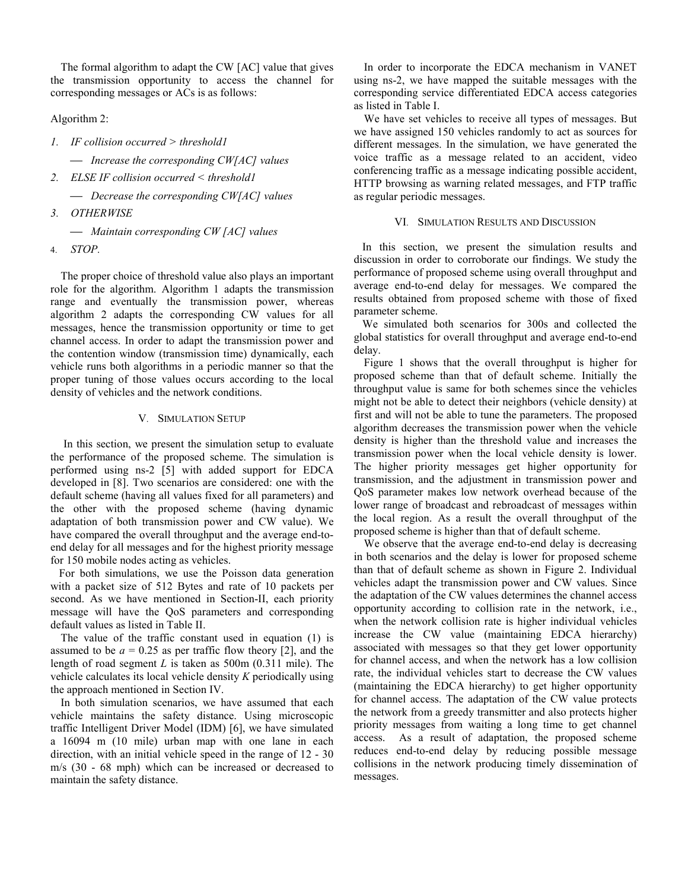The formal algorithm to adapt the CW [AC] value that gives the transmission opportunity to access the channel for corresponding messages or ACs is as follows:

Algorithm 2:

*1. IF collision occurred > threshold1* 

⎯ *Increase the corresponding CW[AC] values* 

*2. ELSE IF collision occurred < threshold1* 

⎯ *Decrease the corresponding CW[AC] values* 

*3. OTHERWISE* 

⎯ *Maintain corresponding CW [AC] values* 

4. *STOP.*

The proper choice of threshold value also plays an important role for the algorithm. Algorithm 1 adapts the transmission range and eventually the transmission power, whereas algorithm 2 adapts the corresponding CW values for all messages, hence the transmission opportunity or time to get channel access. In order to adapt the transmission power and the contention window (transmission time) dynamically, each vehicle runs both algorithms in a periodic manner so that the proper tuning of those values occurs according to the local density of vehicles and the network conditions.

#### V. SIMULATION SETUP

 In this section, we present the simulation setup to evaluate the performance of the proposed scheme. The simulation is performed using ns-2 [5] with added support for EDCA developed in [8]. Two scenarios are considered: one with the default scheme (having all values fixed for all parameters) and the other with the proposed scheme (having dynamic adaptation of both transmission power and CW value). We have compared the overall throughput and the average end-toend delay for all messages and for the highest priority message for 150 mobile nodes acting as vehicles.

 For both simulations, we use the Poisson data generation with a packet size of 512 Bytes and rate of 10 packets per second. As we have mentioned in Section-II, each priority message will have the QoS parameters and corresponding default values as listed in Table II.

The value of the traffic constant used in equation (1) is assumed to be  $a = 0.25$  as per traffic flow theory [2], and the length of road segment *L* is taken as 500m (0.311 mile). The vehicle calculates its local vehicle density *K* periodically using the approach mentioned in Section IV.

In both simulation scenarios, we have assumed that each vehicle maintains the safety distance. Using microscopic traffic Intelligent Driver Model (IDM) [6], we have simulated a 16094 m (10 mile) urban map with one lane in each direction, with an initial vehicle speed in the range of 12 - 30 m/s (30 - 68 mph) which can be increased or decreased to maintain the safety distance.

In order to incorporate the EDCA mechanism in VANET using ns-2, we have mapped the suitable messages with the corresponding service differentiated EDCA access categories as listed in Table I.

We have set vehicles to receive all types of messages. But we have assigned 150 vehicles randomly to act as sources for different messages. In the simulation, we have generated the voice traffic as a message related to an accident, video conferencing traffic as a message indicating possible accident, HTTP browsing as warning related messages, and FTP traffic as regular periodic messages.

#### VI. SIMULATION RESULTS AND DISCUSSION

 In this section, we present the simulation results and discussion in order to corroborate our findings. We study the performance of proposed scheme using overall throughput and average end-to-end delay for messages. We compared the results obtained from proposed scheme with those of fixed parameter scheme.

 We simulated both scenarios for 300s and collected the global statistics for overall throughput and average end-to-end delay.

Figure 1 shows that the overall throughput is higher for proposed scheme than that of default scheme. Initially the throughput value is same for both schemes since the vehicles might not be able to detect their neighbors (vehicle density) at first and will not be able to tune the parameters. The proposed algorithm decreases the transmission power when the vehicle density is higher than the threshold value and increases the transmission power when the local vehicle density is lower. The higher priority messages get higher opportunity for transmission, and the adjustment in transmission power and QoS parameter makes low network overhead because of the lower range of broadcast and rebroadcast of messages within the local region. As a result the overall throughput of the proposed scheme is higher than that of default scheme.

We observe that the average end-to-end delay is decreasing in both scenarios and the delay is lower for proposed scheme than that of default scheme as shown in Figure 2. Individual vehicles adapt the transmission power and CW values. Since the adaptation of the CW values determines the channel access opportunity according to collision rate in the network, i.e., when the network collision rate is higher individual vehicles increase the CW value (maintaining EDCA hierarchy) associated with messages so that they get lower opportunity for channel access, and when the network has a low collision rate, the individual vehicles start to decrease the CW values (maintaining the EDCA hierarchy) to get higher opportunity for channel access. The adaptation of the CW value protects the network from a greedy transmitter and also protects higher priority messages from waiting a long time to get channel access. As a result of adaptation, the proposed scheme reduces end-to-end delay by reducing possible message collisions in the network producing timely dissemination of messages.